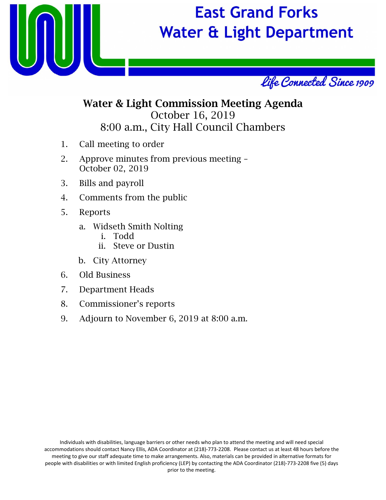

# **East Grand Forks Water & Light Department**



### Water & Light Commission Meeting Agenda October 16, 2019 8:00 a.m., City Hall Council Chambers

- 1. Call meeting to order
- 2. Approve minutes from previous meeting October 02, 2019
- 3. Bills and payroll
- 4. Comments from the public
- 5. Reports
	- a. Widseth Smith Nolting
		- i. Todd
		- ii. Steve or Dustin
	- b. City Attorney
- 6. Old Business
- 7. Department Heads
- 8. Commissioner's reports
- 9. Adjourn to November 6, 2019 at 8:00 a.m.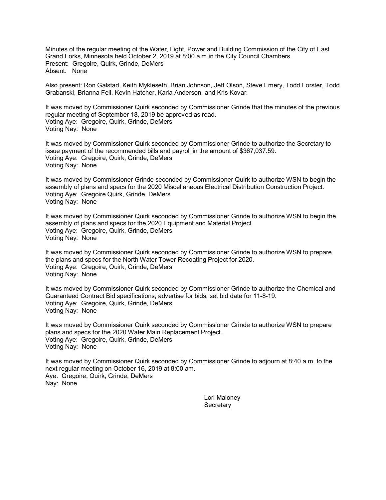Minutes of the regular meeting of the Water, Light, Power and Building Commission of the City of East Grand Forks, Minnesota held October 2, 2019 at 8:00 a.m in the City Council Chambers. Present: Gregoire, Quirk, Grinde, DeMers Absent: None

Also present: Ron Galstad, Keith Mykleseth, Brian Johnson, Jeff Olson, Steve Emery, Todd Forster, Todd Grabanski, Brianna Feil, Kevin Hatcher, Karla Anderson, and Kris Kovar.

It was moved by Commissioner Quirk seconded by Commissioner Grinde that the minutes of the previous regular meeting of September 18, 2019 be approved as read. Voting Aye: Gregoire, Quirk, Grinde, DeMers Voting Nay: None

It was moved by Commissioner Quirk seconded by Commissioner Grinde to authorize the Secretary to issue payment of the recommended bills and payroll in the amount of \$367,037.59. Voting Aye: Gregoire, Quirk, Grinde, DeMers Voting Nay: None

It was moved by Commissioner Grinde seconded by Commissioner Quirk to authorize WSN to begin the assembly of plans and specs for the 2020 Miscellaneous Electrical Distribution Construction Project. Voting Aye: Gregoire Quirk, Grinde, DeMers Voting Nay: None

It was moved by Commissioner Quirk seconded by Commissioner Grinde to authorize WSN to begin the assembly of plans and specs for the 2020 Equipment and Material Project. Voting Aye: Gregoire, Quirk, Grinde, DeMers Voting Nay: None

It was moved by Commissioner Quirk seconded by Commissioner Grinde to authorize WSN to prepare the plans and specs for the North Water Tower Recoating Project for 2020. Voting Aye: Gregoire, Quirk, Grinde, DeMers Voting Nay: None

It was moved by Commissioner Quirk seconded by Commissioner Grinde to authorize the Chemical and Guaranteed Contract Bid specifications; advertise for bids; set bid date for 11-8-19. Voting Aye: Gregoire, Quirk, Grinde, DeMers Voting Nay: None

It was moved by Commissioner Quirk seconded by Commissioner Grinde to authorize WSN to prepare plans and specs for the 2020 Water Main Replacement Project. Voting Aye: Gregoire, Quirk, Grinde, DeMers Voting Nay: None

It was moved by Commissioner Quirk seconded by Commissioner Grinde to adjourn at 8:40 a.m. to the next regular meeting on October 16, 2019 at 8:00 am. Aye: Gregoire, Quirk, Grinde, DeMers Nay: None

> Lori Maloney **Secretary**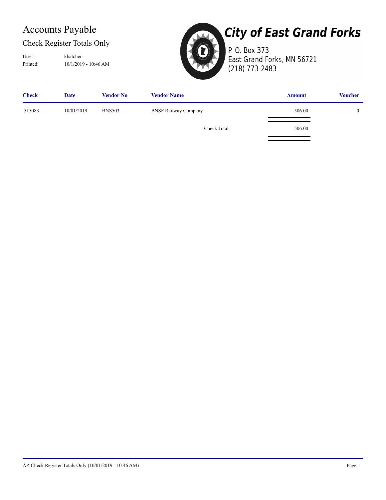## Accounts Payable

#### Check Register Totals Only

Printed: 10/1/2019 - 10:46 AM User: khatcher



## **City of East Grand Forks**

P. O. Box 373 East Grand Forks, MN 56721 (218) 773-2483

| <b>Check</b> | <b>Date</b> | <b>Vendor No</b> | <b>Vendor Name</b>          | <b>Amount</b> | <b>Voucher</b> |
|--------------|-------------|------------------|-----------------------------|---------------|----------------|
| 515083       | 10/01/2019  | <b>BNS503</b>    | <b>BNSF Railway Company</b> | 506.00        |                |
|              |             |                  | Check Total:                | 506.00        |                |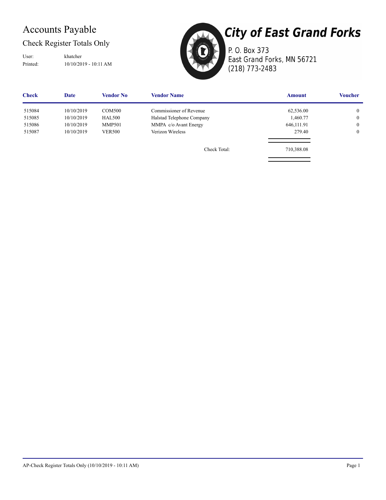## Accounts Payable

#### Check Register Totals Only

Printed: 10/10/2019 - 10:11 AM User: khatcher



P. O. Box 373 East Grand Forks, MN 56721 (218) 773-2483

**Check Date Vendor No Vendor Name Amount Voucher** 515084 10/10/2019 [COM500](http://ssi.NET?action=object&object=APVendor&id=COM500) [Commissioner of Revenue](http://ssi.NET?action=object&object=APVendor&id=COM500) 62,536.00 62,536.00 0  [515085](http://ssi.NET?action=object&object=APCheck&id=0139466180) 10/10/2019 [HAL500](http://ssi.NET?action=object&object=APVendor&id=HAL500) [Halstad Telephone Company](http://ssi.NET?action=object&object=APVendor&id=HAL500) 1,460.77 0 515086 10/10/2019 [MMP501](http://ssi.NET?action=object&object=APVendor&id=MMP501) [MMPA c/o Avant Energy](http://ssi.NET?action=object&object=APVendor&id=MMP501) 646,111.91 646,111.91 0  [515087](http://ssi.NET?action=object&object=APCheck&id=0139466229) 10/10/2019 [VER500](http://ssi.NET?action=object&object=APVendor&id=VER500) [Verizon Wireless](http://ssi.NET?action=object&object=APVendor&id=VER500) 279.40 0 Check Total: 710,388.08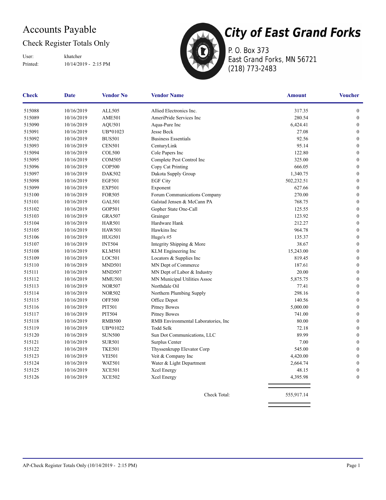## Accounts Payable

#### Check Register Totals Only

Printed: 10/14/2019 - 2:15 PM User: khatcher



P. O. Box 373 East Grand Forks, MN 56721 (218) 773-2483

| <b>Check</b> | <b>Date</b> | <b>Vendor No</b> | <b>Vendor Name</b>                   | <b>Amount</b> | <b>Voucher</b>   |
|--------------|-------------|------------------|--------------------------------------|---------------|------------------|
| 515088       | 10/16/2019  | ALL505           | Allied Electronics Inc.              | 317.35        | 0                |
| 515089       | 10/16/2019  | <b>AME501</b>    | AmeriPride Services Inc              | 280.54        | $\boldsymbol{0}$ |
| 515090       | 10/16/2019  | AQU501           | Aqua-Pure Inc                        | 6,424.41      | $\boldsymbol{0}$ |
| 515091       | 10/16/2019  | UB*01023         | Jesse Beck                           | 27.08         | $\boldsymbol{0}$ |
| 515092       | 10/16/2019  | <b>BUS501</b>    | <b>Business Essentials</b>           | 92.56         | $\mathbf{0}$     |
| 515093       | 10/16/2019  | <b>CEN501</b>    | CenturyLink                          | 95.14         | $\mathbf{0}$     |
| 515094       | 10/16/2019  | <b>COL500</b>    | Cole Papers Inc                      | 122.80        | $\boldsymbol{0}$ |
| 515095       | 10/16/2019  | <b>COM505</b>    | Complete Pest Control Inc            | 325.00        | $\boldsymbol{0}$ |
| 515096       | 10/16/2019  | <b>COP500</b>    | Copy Cat Printing                    | 666.05        | $\mathbf{0}$     |
| 515097       | 10/16/2019  | <b>DAK502</b>    | Dakota Supply Group                  | 1,340.75      | $\mathbf{0}$     |
| 515098       | 10/16/2019  | <b>EGF501</b>    | <b>EGF City</b>                      | 502,232.51    | $\boldsymbol{0}$ |
| 515099       | 10/16/2019  | <b>EXP501</b>    | Exponent                             | 627.66        | $\boldsymbol{0}$ |
| 515100       | 10/16/2019  | <b>FOR505</b>    | Forum Communications Company         | 270.00        | $\boldsymbol{0}$ |
| 515101       | 10/16/2019  | <b>GAL501</b>    | Galstad Jensen & McCann PA           | 768.75        | $\boldsymbol{0}$ |
| 515102       | 10/16/2019  | <b>GOP501</b>    | Gopher State One-Call                | 125.55        | $\boldsymbol{0}$ |
| 515103       | 10/16/2019  | <b>GRA507</b>    | Grainger                             | 123.92        | $\boldsymbol{0}$ |
| 515104       | 10/16/2019  | <b>HAR501</b>    | Hardware Hank                        | 212.27        | $\boldsymbol{0}$ |
| 515105       | 10/16/2019  | <b>HAW501</b>    | Hawkins Inc                          | 964.78        | $\boldsymbol{0}$ |
| 515106       | 10/16/2019  | <b>HUG501</b>    | Hugo's $#5$                          | 135.37        | $\mathbf{0}$     |
| 515107       | 10/16/2019  | <b>INT504</b>    | Integrity Shipping & More            | 38.67         | $\mathbf{0}$     |
| 515108       | 10/16/2019  | <b>KLM501</b>    | KLM Engineering Inc                  | 15,243.00     | $\boldsymbol{0}$ |
| 515109       | 10/16/2019  | LOC501           | Locators & Supplies Inc              | 819.45        | $\boldsymbol{0}$ |
| 515110       | 10/16/2019  | <b>MND501</b>    | MN Dept of Commerce                  | 187.61        | $\boldsymbol{0}$ |
| 515111       | 10/16/2019  | MND507           | MN Dept of Labor & Industry          | 20.00         | $\boldsymbol{0}$ |
| 515112       | 10/16/2019  | <b>MMU501</b>    | MN Municipal Utilities Assoc         | 5,875.75      | $\boldsymbol{0}$ |
| 515113       | 10/16/2019  | <b>NOR507</b>    | Northdale Oil                        | 77.41         | $\boldsymbol{0}$ |
| 515114       | 10/16/2019  | <b>NOR502</b>    | Northern Plumbing Supply             | 298.16        | $\boldsymbol{0}$ |
| 515115       | 10/16/2019  | <b>OFF500</b>    | Office Depot                         | 140.56        | $\boldsymbol{0}$ |
| 515116       | 10/16/2019  | <b>PIT501</b>    | <b>Pitney Bowes</b>                  | 5,000.00      | $\boldsymbol{0}$ |
| 515117       | 10/16/2019  | <b>PIT504</b>    | <b>Pitney Bowes</b>                  | 741.00        | $\mathbf{0}$     |
| 515118       | 10/16/2019  | <b>RMB500</b>    | RMB Environmental Laboratories, Inc. | 80.00         | $\mathbf{0}$     |
| 515119       | 10/16/2019  | UB*01022         | <b>Todd Selk</b>                     | 72.18         | $\boldsymbol{0}$ |
| 515120       | 10/16/2019  | <b>SUN500</b>    | Sun Dot Communications, LLC          | 89.99         | $\boldsymbol{0}$ |
| 515121       | 10/16/2019  | <b>SUR501</b>    | Surplus Center                       | 7.00          | $\mathbf{0}$     |
| 515122       | 10/16/2019  | <b>TKE501</b>    | Thyssenkrupp Elevator Corp           | 545.00        | $\boldsymbol{0}$ |
| 515123       | 10/16/2019  | <b>VEI501</b>    | Veit & Company Inc                   | 4,420.00      | $\boldsymbol{0}$ |
| 515124       | 10/16/2019  | <b>WAT501</b>    | Water & Light Department             | 2,664.74      | $\boldsymbol{0}$ |
| 515125       | 10/16/2019  | <b>XCE501</b>    | Xcel Energy                          | 48.15         | $\boldsymbol{0}$ |
| 515126       | 10/16/2019  | <b>XCE502</b>    | Xcel Energy                          | 4,395.98      | $\boldsymbol{0}$ |
|              |             |                  | Check Total:                         | 555,917.14    |                  |